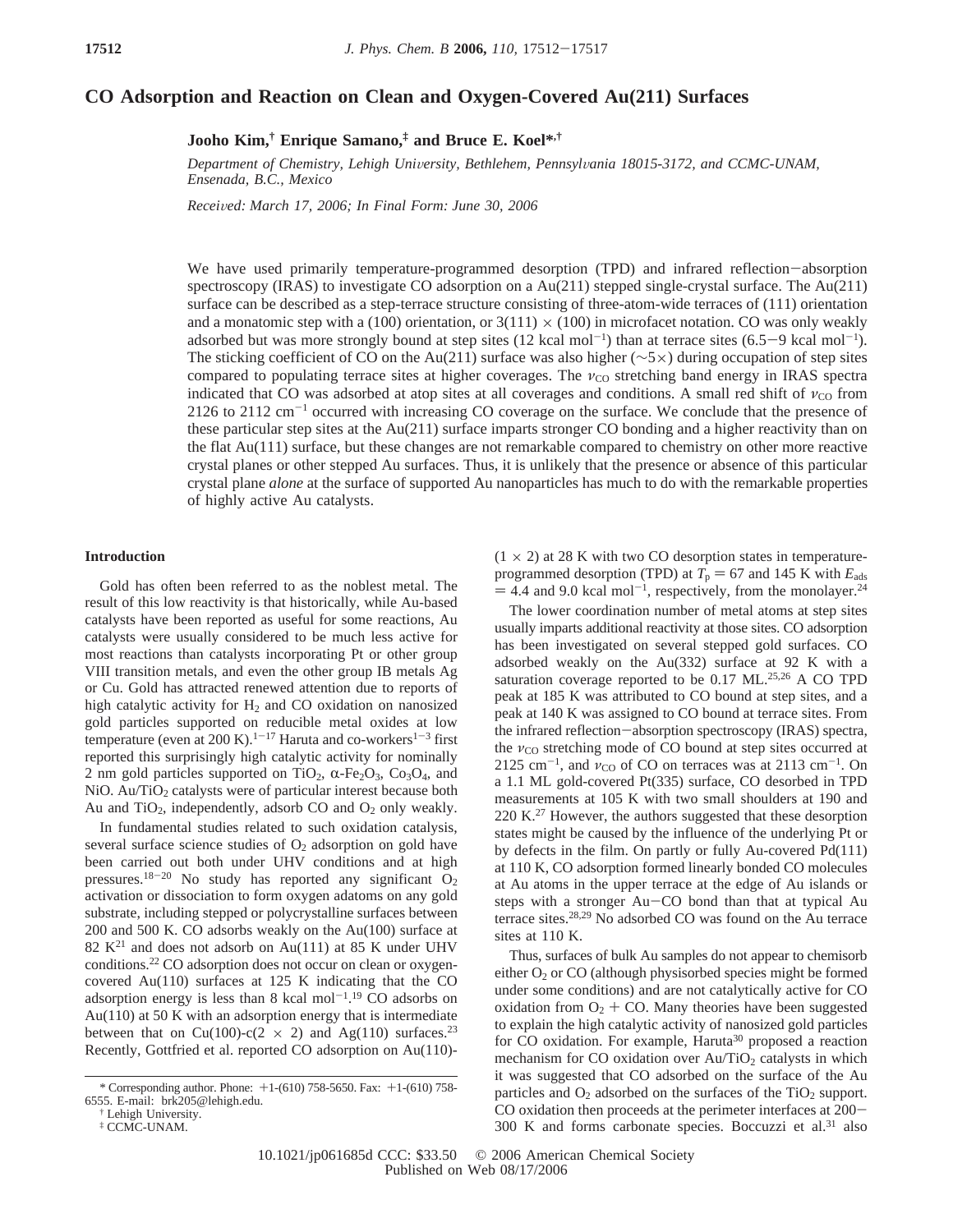# **CO Adsorption and Reaction on Clean and Oxygen-Covered Au(211) Surfaces**

**Jooho Kim,† Enrique Samano,‡ and Bruce E. Koel\*,†**

Department of Chemistry, Lehigh University, Bethlehem, Pennsylvania 18015-3172, and CCMC-UNAM, *Ensenada, B.C., Mexico*

*Recei*V*ed: March 17, 2006; In Final Form: June 30, 2006*

We have used primarily temperature-programmed desorption (TPD) and infrared reflection-absorption spectroscopy (IRAS) to investigate CO adsorption on a Au(211) stepped single-crystal surface. The Au(211) surface can be described as a step-terrace structure consisting of three-atom-wide terraces of (111) orientation and a monatomic step with a (100) orientation, or  $3(111) \times (100)$  in microfacet notation. CO was only weakly adsorbed but was more strongly bound at step sites (12 kcal mol<sup>-1</sup>) than at terrace sites (6.5–9 kcal mol<sup>-1</sup>).<br>The sticking coefficient of CO on the Au(211) surface was also higher ( $\sim$ 5×) during occupation of step sit The sticking coefficient of CO on the Au(211) surface was also higher (∼5×) during occupation of step sites compared to populating terrace sites at higher coverages. The  $v_{\text{CO}}$  stretching band energy in IRAS spectra indicated that CO was adsorbed at atop sites at all coverages and conditions. A small red shift of  $v_{\text{CO}}$  from 2126 to 2112  $\text{cm}^{-1}$  occurred with increasing CO coverage on the surface. We conclude that the presence of these particular step sites at the Au(211) surface imparts stronger CO bonding and a higher reactivity than on the flat  $Au(111)$  surface, but these changes are not remarkable compared to chemistry on other more reactive crystal planes or other stepped Au surfaces. Thus, it is unlikely that the presence or absence of this particular crystal plane *alone* at the surface of supported Au nanoparticles has much to do with the remarkable properties of highly active Au catalysts.

## **Introduction**

Gold has often been referred to as the noblest metal. The result of this low reactivity is that historically, while Au-based catalysts have been reported as useful for some reactions, Au catalysts were usually considered to be much less active for most reactions than catalysts incorporating Pt or other group VIII transition metals, and even the other group IB metals Ag or Cu. Gold has attracted renewed attention due to reports of high catalytic activity for  $H_2$  and CO oxidation on nanosized gold particles supported on reducible metal oxides at low temperature (even at 200 K).<sup>1-17</sup> Haruta and co-workers<sup>1-3</sup> first reported this surprisingly high catalytic activity for nominally 2 nm gold particles supported on TiO<sub>2</sub>,  $\alpha$ -Fe<sub>2</sub>O<sub>3</sub>, Co<sub>3</sub>O<sub>4</sub>, and NiO. Au/TiO<sub>2</sub> catalysts were of particular interest because both Au and  $TiO<sub>2</sub>$ , independently, adsorb CO and  $O<sub>2</sub>$  only weakly.

In fundamental studies related to such oxidation catalysis, several surface science studies of  $O<sub>2</sub>$  adsorption on gold have been carried out both under UHV conditions and at high pressures.<sup>18-20</sup> No study has reported any significant  $O_2$ activation or dissociation to form oxygen adatoms on any gold substrate, including stepped or polycrystalline surfaces between 200 and 500 K. CO adsorbs weakly on the Au(100) surface at  $82 K<sup>21</sup>$  and does not adsorb on Au(111) at 85 K under UHV conditions.22 CO adsorption does not occur on clean or oxygencovered Au(110) surfaces at 125 K indicating that the CO adsorption energy is less than  $8 \text{ kcal mol}^{-1}$ .<sup>19</sup> CO adsorbs on Au(110) at 50 K with an adsorption energy that is intermediate between that on Cu(100)-c(2  $\times$  2) and Ag(110) surfaces.<sup>23</sup> Recently, Gottfried et al. reported CO adsorption on Au(110)-

 $(1 \times 2)$  at 28 K with two CO desorption states in temperatureprogrammed desorption (TPD) at  $T_p = 67$  and 145 K with  $E_{ads}$  $=$  4.4 and 9.0 kcal mol<sup>-1</sup>, respectively, from the monolayer.<sup>24</sup>

The lower coordination number of metal atoms at step sites usually imparts additional reactivity at those sites. CO adsorption has been investigated on several stepped gold surfaces. CO adsorbed weakly on the Au(332) surface at 92 K with a saturation coverage reported to be 0.17 ML.<sup>25,26</sup> A CO TPD peak at 185 K was attributed to CO bound at step sites, and a peak at 140 K was assigned to CO bound at terrace sites. From the infrared reflection-absorption spectroscopy (IRAS) spectra, the  $v_{\rm CO}$  stretching mode of CO bound at step sites occurred at 2125 cm<sup>-1</sup>, and  $v_{\text{CO}}$  of CO on terraces was at 2113 cm<sup>-1</sup>. On a 1.1 ML gold-covered Pt(335) surface, CO desorbed in TPD measurements at 105 K with two small shoulders at 190 and 220 K<sup>27</sup> However, the authors suggested that these desorption states might be caused by the influence of the underlying Pt or by defects in the film. On partly or fully Au-covered Pd(111) at 110 K, CO adsorption formed linearly bonded CO molecules at Au atoms in the upper terrace at the edge of Au islands or steps with a stronger Au-CO bond than that at typical Au terrace sites.28,29 No adsorbed CO was found on the Au terrace sites at 110 K.

Thus, surfaces of bulk Au samples do not appear to chemisorb either O<sub>2</sub> or CO (although physisorbed species might be formed under some conditions) and are not catalytically active for CO oxidation from  $O_2$  + CO. Many theories have been suggested to explain the high catalytic activity of nanosized gold particles for CO oxidation. For example, Haruta<sup>30</sup> proposed a reaction mechanism for CO oxidation over  $Au/TiO<sub>2</sub>$  catalysts in which it was suggested that CO adsorbed on the surface of the Au particles and  $O_2$  adsorbed on the surfaces of the TiO<sub>2</sub> support. CO oxidation then proceeds at the perimeter interfaces at 200- 300 K and forms carbonate species. Boccuzzi et al.31 also

<sup>\*</sup> Corresponding author. Phone: +1-(610) 758-5650. Fax: +1-(610) 758- 6555. E-mail: brk205@lehigh.edu.

<sup>†</sup> Lehigh University.

<sup>‡</sup> CCMC-UNAM.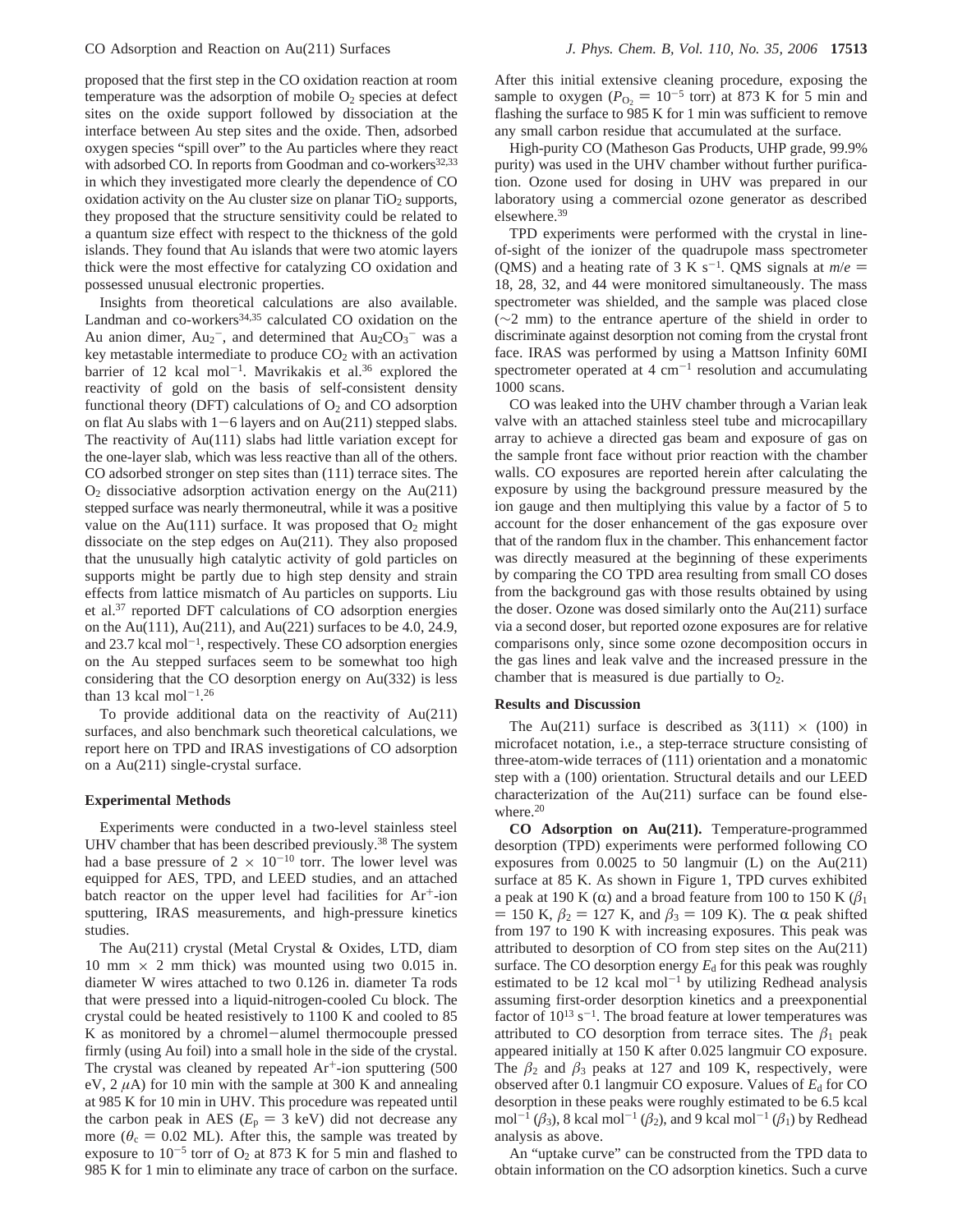proposed that the first step in the CO oxidation reaction at room temperature was the adsorption of mobile  $O_2$  species at defect sites on the oxide support followed by dissociation at the interface between Au step sites and the oxide. Then, adsorbed oxygen species "spill over" to the Au particles where they react with adsorbed CO. In reports from Goodman and co-workers<sup>32,33</sup> in which they investigated more clearly the dependence of CO oxidation activity on the Au cluster size on planar  $TiO<sub>2</sub>$  supports, they proposed that the structure sensitivity could be related to a quantum size effect with respect to the thickness of the gold islands. They found that Au islands that were two atomic layers thick were the most effective for catalyzing CO oxidation and possessed unusual electronic properties.

Insights from theoretical calculations are also available. Landman and co-workers<sup>34,35</sup> calculated CO oxidation on the Au anion dimer,  $Au_2^-$ , and determined that  $Au_2CO_3^-$  was a key metastable intermediate to produce  $CO<sub>2</sub>$  with an activation barrier of 12 kcal mol<sup>-1</sup>. Mavrikakis et al.<sup>36</sup> explored the reactivity of gold on the basis of self-consistent density functional theory (DFT) calculations of  $O_2$  and CO adsorption on flat Au slabs with  $1-6$  layers and on Au(211) stepped slabs. The reactivity of Au(111) slabs had little variation except for the one-layer slab, which was less reactive than all of the others. CO adsorbed stronger on step sites than (111) terrace sites. The  $O<sub>2</sub>$  dissociative adsorption activation energy on the Au(211) stepped surface was nearly thermoneutral, while it was a positive value on the Au(111) surface. It was proposed that  $O_2$  might dissociate on the step edges on Au(211). They also proposed that the unusually high catalytic activity of gold particles on supports might be partly due to high step density and strain effects from lattice mismatch of Au particles on supports. Liu et al.37 reported DFT calculations of CO adsorption energies on the Au(111), Au(211), and Au(221) surfaces to be 4.0, 24.9, and  $23.7$  kcal mol<sup>-1</sup>, respectively. These CO adsorption energies on the Au stepped surfaces seem to be somewhat too high considering that the CO desorption energy on Au(332) is less than 13 kcal mol<sup>-1</sup>.<sup>26</sup>

To provide additional data on the reactivity of Au(211) surfaces, and also benchmark such theoretical calculations, we report here on TPD and IRAS investigations of CO adsorption on a Au(211) single-crystal surface.

### **Experimental Methods**

Experiments were conducted in a two-level stainless steel UHV chamber that has been described previously.<sup>38</sup> The system had a base pressure of  $2 \times 10^{-10}$  torr. The lower level was equipped for AES, TPD, and LEED studies, and an attached batch reactor on the upper level had facilities for  $Ar^+$ -ion sputtering, IRAS measurements, and high-pressure kinetics studies.

The Au(211) crystal (Metal Crystal & Oxides, LTD, diam 10 mm  $\times$  2 mm thick) was mounted using two 0.015 in. diameter W wires attached to two 0.126 in. diameter Ta rods that were pressed into a liquid-nitrogen-cooled Cu block. The crystal could be heated resistively to 1100 K and cooled to 85 K as monitored by a chromel-alumel thermocouple pressed firmly (using Au foil) into a small hole in the side of the crystal. The crystal was cleaned by repeated  $Ar<sup>+</sup>$ -ion sputtering (500) eV, 2 *µ*A) for 10 min with the sample at 300 K and annealing at 985 K for 10 min in UHV. This procedure was repeated until the carbon peak in AES  $(E_p = 3 \text{ keV})$  did not decrease any more ( $\theta_c = 0.02$  ML). After this, the sample was treated by exposure to  $10^{-5}$  torr of O<sub>2</sub> at 873 K for 5 min and flashed to 985 K for 1 min to eliminate any trace of carbon on the surface.

After this initial extensive cleaning procedure, exposing the sample to oxygen ( $P_{\text{O}_2} = 10^{-5}$  torr) at 873 K for 5 min and flashing the surface to 985 K for 1 min was sufficient to remove any small carbon residue that accumulated at the surface.

High-purity CO (Matheson Gas Products, UHP grade, 99.9% purity) was used in the UHV chamber without further purification. Ozone used for dosing in UHV was prepared in our laboratory using a commercial ozone generator as described elsewhere.39

TPD experiments were performed with the crystal in lineof-sight of the ionizer of the quadrupole mass spectrometer (QMS) and a heating rate of 3 K s<sup>-1</sup>. QMS signals at  $m/e =$ 18, 28, 32, and 44 were monitored simultaneously. The mass spectrometer was shielded, and the sample was placed close (∼2 mm) to the entrance aperture of the shield in order to discriminate against desorption not coming from the crystal front face. IRAS was performed by using a Mattson Infinity 60MI spectrometer operated at  $4 \text{ cm}^{-1}$  resolution and accumulating 1000 scans.

CO was leaked into the UHV chamber through a Varian leak valve with an attached stainless steel tube and microcapillary array to achieve a directed gas beam and exposure of gas on the sample front face without prior reaction with the chamber walls. CO exposures are reported herein after calculating the exposure by using the background pressure measured by the ion gauge and then multiplying this value by a factor of 5 to account for the doser enhancement of the gas exposure over that of the random flux in the chamber. This enhancement factor was directly measured at the beginning of these experiments by comparing the CO TPD area resulting from small CO doses from the background gas with those results obtained by using the doser. Ozone was dosed similarly onto the Au(211) surface via a second doser, but reported ozone exposures are for relative comparisons only, since some ozone decomposition occurs in the gas lines and leak valve and the increased pressure in the chamber that is measured is due partially to  $O_2$ .

#### **Results and Discussion**

The Au(211) surface is described as  $3(111) \times (100)$  in microfacet notation, i.e., a step-terrace structure consisting of three-atom-wide terraces of (111) orientation and a monatomic step with a (100) orientation. Structural details and our LEED characterization of the Au(211) surface can be found elsewhere.<sup>20</sup>

**CO Adsorption on Au(211).** Temperature-programmed desorption (TPD) experiments were performed following CO exposures from 0.0025 to 50 langmuir (L) on the Au(211) surface at 85 K. As shown in Figure 1, TPD curves exhibited a peak at 190 K  $(\alpha)$  and a broad feature from 100 to 150 K  $(\beta_1)$  $= 150$  K,  $β_2 = 127$  K, and  $β_3 = 109$  K). The α peak shifted from 197 to 190 K with increasing exposures. This peak was attributed to desorption of CO from step sites on the Au(211) surface. The CO desorption energy  $E_d$  for this peak was roughly estimated to be  $12 \text{ kcal mol}^{-1}$  by utilizing Redhead analysis assuming first-order desorption kinetics and a preexponential factor of  $10^{13}$  s<sup>-1</sup>. The broad feature at lower temperatures was attributed to CO desorption from terrace sites. The  $\beta_1$  peak appeared initially at 150 K after 0.025 langmuir CO exposure. The  $\beta_2$  and  $\beta_3$  peaks at 127 and 109 K, respectively, were observed after 0.1 langmuir CO exposure. Values of  $E<sub>d</sub>$  for CO desorption in these peaks were roughly estimated to be 6.5 kcal mol<sup>-1</sup> ( $\beta_3$ ), 8 kcal mol<sup>-1</sup> ( $\beta_2$ ), and 9 kcal mol<sup>-1</sup> ( $\beta_1$ ) by Redhead analysis as above.

An "uptake curve" can be constructed from the TPD data to obtain information on the CO adsorption kinetics. Such a curve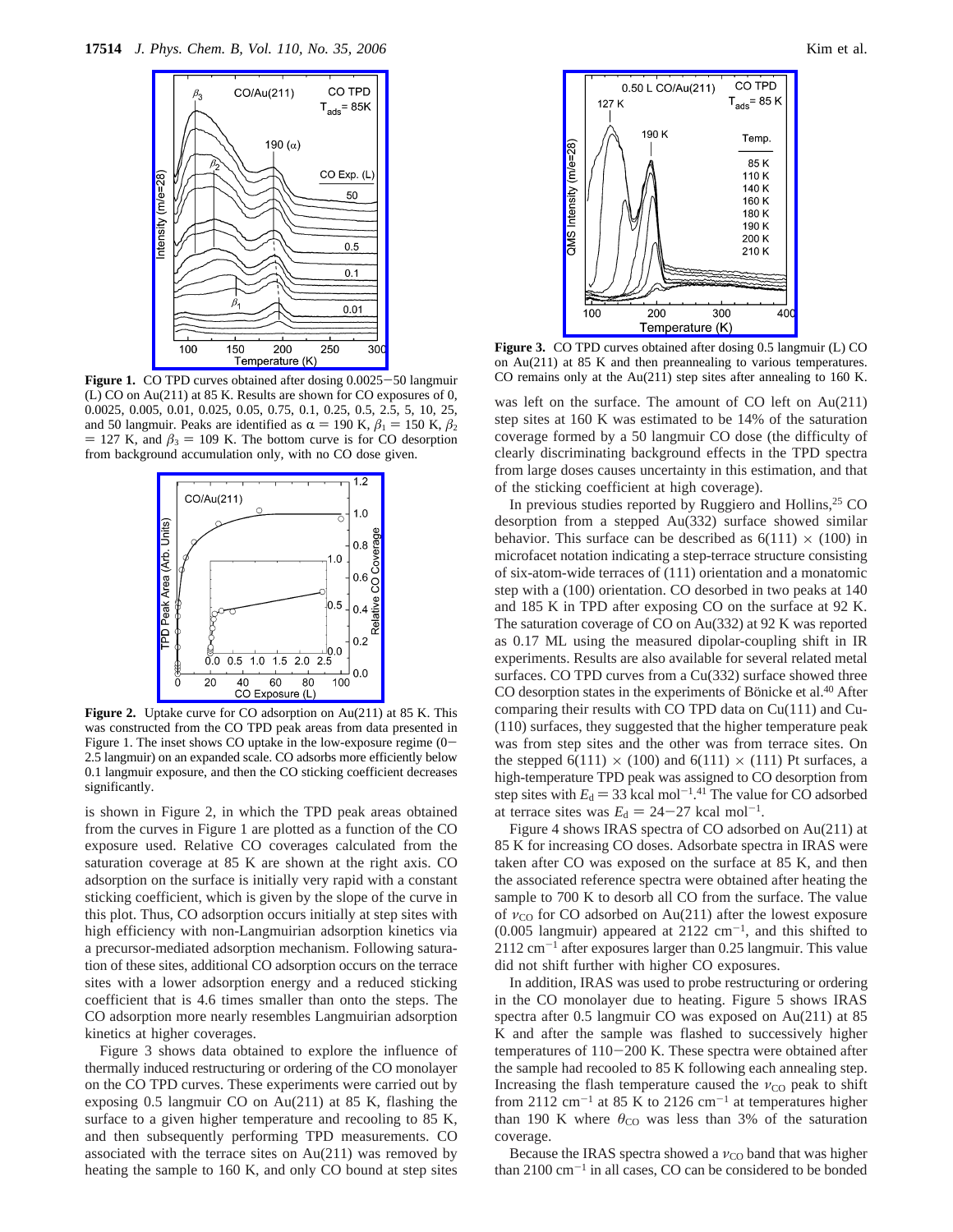

Figure 1. CO TPD curves obtained after dosing  $0.0025 - 50$  langmuir (L) CO on Au(211) at 85 K. Results are shown for CO exposures of 0, 0.0025, 0.005, 0.01, 0.025, 0.05, 0.75, 0.1, 0.25, 0.5, 2.5, 5, 10, 25, and 50 langmuir. Peaks are identified as  $\alpha = 190$  K,  $\beta_1 = 150$  K,  $\beta_2$  $= 127$  K, and  $\beta_3 = 109$  K. The bottom curve is for CO desorption from background accumulation only, with no CO dose given.



**Figure 2.** Uptake curve for CO adsorption on Au(211) at 85 K. This was constructed from the CO TPD peak areas from data presented in Figure 1. The inset shows CO uptake in the low-exposure regime  $(0-$ 2.5 langmuir) on an expanded scale. CO adsorbs more efficiently below 0.1 langmuir exposure, and then the CO sticking coefficient decreases significantly.

is shown in Figure 2, in which the TPD peak areas obtained from the curves in Figure 1 are plotted as a function of the CO exposure used. Relative CO coverages calculated from the saturation coverage at 85 K are shown at the right axis. CO adsorption on the surface is initially very rapid with a constant sticking coefficient, which is given by the slope of the curve in this plot. Thus, CO adsorption occurs initially at step sites with high efficiency with non-Langmuirian adsorption kinetics via a precursor-mediated adsorption mechanism. Following saturation of these sites, additional CO adsorption occurs on the terrace sites with a lower adsorption energy and a reduced sticking coefficient that is 4.6 times smaller than onto the steps. The CO adsorption more nearly resembles Langmuirian adsorption kinetics at higher coverages.

Figure 3 shows data obtained to explore the influence of thermally induced restructuring or ordering of the CO monolayer on the CO TPD curves. These experiments were carried out by exposing 0.5 langmuir CO on Au(211) at 85 K, flashing the surface to a given higher temperature and recooling to 85 K, and then subsequently performing TPD measurements. CO associated with the terrace sites on Au(211) was removed by heating the sample to 160 K, and only CO bound at step sites



**Figure 3.** CO TPD curves obtained after dosing 0.5 langmuir (L) CO on Au(211) at 85 K and then preannealing to various temperatures. CO remains only at the Au(211) step sites after annealing to 160 K.

was left on the surface. The amount of CO left on Au(211) step sites at 160 K was estimated to be 14% of the saturation coverage formed by a 50 langmuir CO dose (the difficulty of clearly discriminating background effects in the TPD spectra from large doses causes uncertainty in this estimation, and that of the sticking coefficient at high coverage).

In previous studies reported by Ruggiero and Hollins, $25$  CO desorption from a stepped Au(332) surface showed similar behavior. This surface can be described as  $6(111) \times (100)$  in microfacet notation indicating a step-terrace structure consisting of six-atom-wide terraces of (111) orientation and a monatomic step with a (100) orientation. CO desorbed in two peaks at 140 and 185 K in TPD after exposing CO on the surface at 92 K. The saturation coverage of CO on Au(332) at 92 K was reported as 0.17 ML using the measured dipolar-coupling shift in IR experiments. Results are also available for several related metal surfaces. CO TPD curves from a Cu(332) surface showed three CO desorption states in the experiments of Bönicke et al.<sup>40</sup> After comparing their results with CO TPD data on Cu(111) and Cu- (110) surfaces, they suggested that the higher temperature peak was from step sites and the other was from terrace sites. On the stepped 6(111)  $\times$  (100) and 6(111)  $\times$  (111) Pt surfaces, a high-temperature TPD peak was assigned to CO desorption from step sites with  $E_d = 33$  kcal mol<sup>-1.41</sup> The value for CO adsorbed<br>at terrace sites was  $F_d = 24-27$  kcal mol<sup>-1</sup> at terrace sites was  $E_d = 24 - 27$  kcal mol<sup>-1</sup>.

Figure 4 shows IRAS spectra of CO adsorbed on Au(211) at 85 K for increasing CO doses. Adsorbate spectra in IRAS were taken after CO was exposed on the surface at 85 K, and then the associated reference spectra were obtained after heating the sample to 700 K to desorb all CO from the surface. The value of *ν*<sub>CO</sub> for CO adsorbed on Au(211) after the lowest exposure  $(0.005$  langmuir) appeared at 2122 cm<sup>-1</sup>, and this shifted to  $2112 \text{ cm}^{-1}$  after exposures larger than 0.25 langmuir. This value did not shift further with higher CO exposures.

In addition, IRAS was used to probe restructuring or ordering in the CO monolayer due to heating. Figure 5 shows IRAS spectra after 0.5 langmuir CO was exposed on Au(211) at 85 K and after the sample was flashed to successively higher temperatures of 110-200 K. These spectra were obtained after the sample had recooled to 85 K following each annealing step. Increasing the flash temperature caused the *ν*<sub>CO</sub> peak to shift from 2112  $cm^{-1}$  at 85 K to 2126  $cm^{-1}$  at temperatures higher than 190 K where  $\theta_{\text{CO}}$  was less than 3% of the saturation coverage.

Because the IRAS spectra showed a *ν*<sub>CO</sub> band that was higher than  $2100 \text{ cm}^{-1}$  in all cases, CO can be considered to be bonded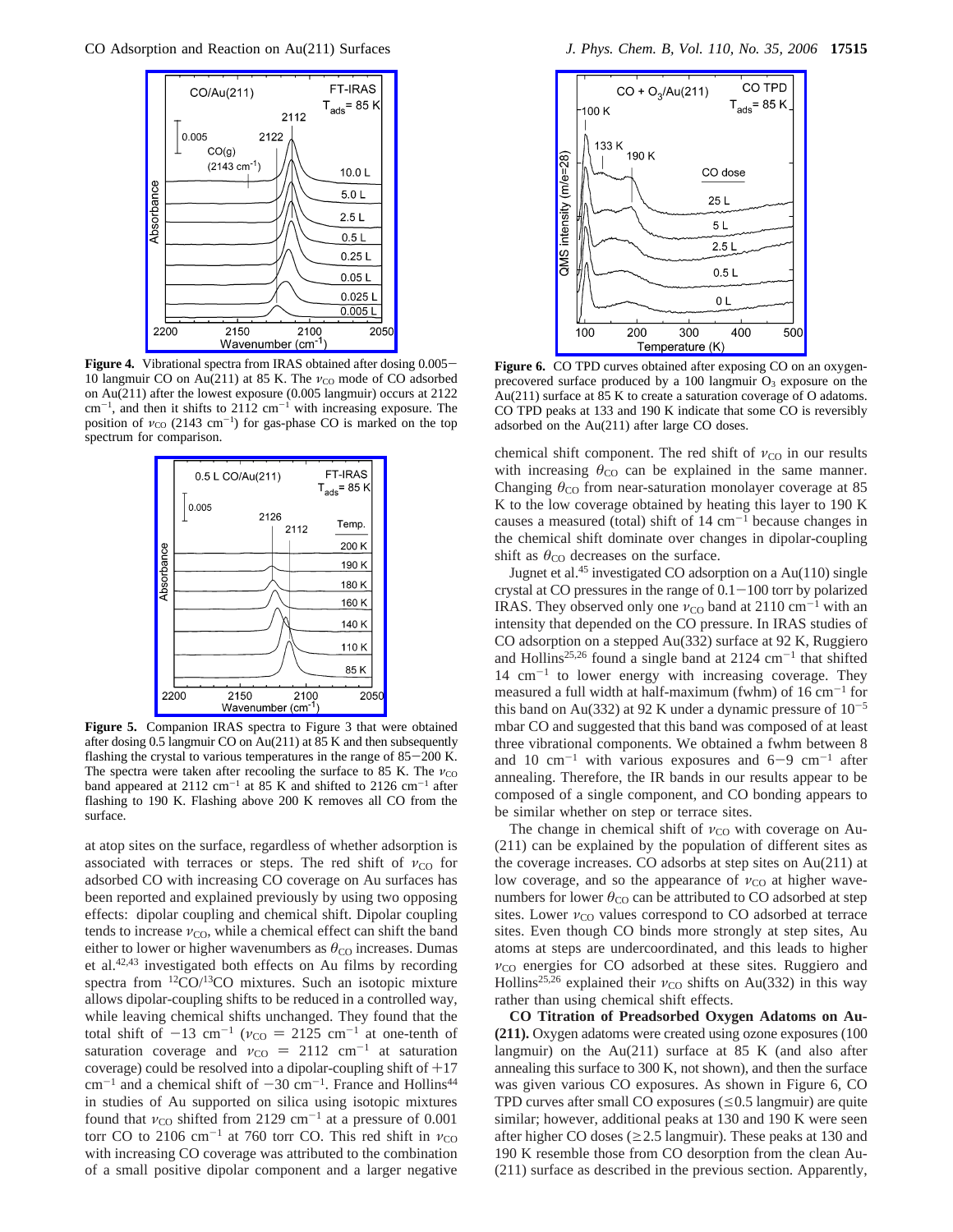

**Figure 4.** Vibrational spectra from IRAS obtained after dosing 0.005– 10 langmuir CO on Au(211) at 85 K. The *ν*<sub>CO</sub> mode of CO adsorbed on Au(211) after the lowest exposure (0.005 langmuir) occurs at 2122  $\text{cm}^{-1}$ , and then it shifts to 2112  $\text{cm}^{-1}$  with increasing exposure. The position of *ν*<sub>CO</sub> (2143 cm<sup>-1</sup>) for gas-phase CO is marked on the top spectrum for comparison.



**Figure 5.** Companion IRAS spectra to Figure 3 that were obtained after dosing 0.5 langmuir CO on Au(211) at 85 K and then subsequently flashing the crystal to various temperatures in the range of  $85-200$  K. The spectra were taken after recooling the surface to 85 K. The *ν*<sub>CO</sub> band appeared at 2112 cm<sup>-1</sup> at 85 K and shifted to 2126 cm<sup>-1</sup> after flashing to 190 K. Flashing above 200 K removes all CO from the surface.

at atop sites on the surface, regardless of whether adsorption is associated with terraces or steps. The red shift of *ν*<sub>CO</sub> for adsorbed CO with increasing CO coverage on Au surfaces has been reported and explained previously by using two opposing effects: dipolar coupling and chemical shift. Dipolar coupling tends to increase  $v_{\text{CO}}$ , while a chemical effect can shift the band either to lower or higher wavenumbers as  $\theta_{\rm CO}$  increases. Dumas et al.42,43 investigated both effects on Au films by recording spectra from <sup>12</sup>CO/<sup>13</sup>CO mixtures. Such an isotopic mixture allows dipolar-coupling shifts to be reduced in a controlled way, while leaving chemical shifts unchanged. They found that the total shift of  $-13$  cm<sup>-1</sup> ( $v_{\text{CO}} = 2125$  cm<sup>-1</sup> at one-tenth of saturation coverage and  $v_{\text{CO}} = 2112$  cm<sup>-1</sup> at saturation saturation coverage and  $v_{\text{CO}} = 2112 \text{ cm}^{-1}$  at saturation<br>coverage) could be resolved into a dipolar-coupling shift of  $+17$ coverage) could be resolved into a dipolar-coupling shift of  $+17$  $cm^{-1}$  and a chemical shift of  $-30$  cm<sup>-1</sup>. France and Hollins<sup>44</sup> in studies of Au supported on silica using isotopic mixtures found that  $v_{\text{CO}}$  shifted from 2129 cm<sup>-1</sup> at a pressure of 0.001 torr CO to 2106 cm<sup>-1</sup> at 760 torr CO. This red shift in  $v_{\text{CO}}$ with increasing CO coverage was attributed to the combination of a small positive dipolar component and a larger negative



**Figure 6.** CO TPD curves obtained after exposing CO on an oxygenprecovered surface produced by a 100 langmuir  $O_3$  exposure on the Au(211) surface at 85 K to create a saturation coverage of O adatoms. CO TPD peaks at 133 and 190 K indicate that some CO is reversibly adsorbed on the Au(211) after large CO doses.

chemical shift component. The red shift of  $v_{\text{CO}}$  in our results with increasing  $\theta_{\rm CO}$  can be explained in the same manner. Changing  $\theta_{\rm CO}$  from near-saturation monolayer coverage at 85 K to the low coverage obtained by heating this layer to 190 K causes a measured (total) shift of  $14 \text{ cm}^{-1}$  because changes in the chemical shift dominate over changes in dipolar-coupling shift as  $\theta_{\rm CO}$  decreases on the surface.

Jugnet et al.45 investigated CO adsorption on a Au(110) single crystal at CO pressures in the range of  $0.1-100$  torr by polarized IRAS. They observed only one  $v_{\text{CO}}$  band at 2110 cm<sup>-1</sup> with an intensity that depended on the CO pressure. In IRAS studies of CO adsorption on a stepped Au(332) surface at 92 K, Ruggiero and Hollins<sup>25,26</sup> found a single band at 2124  $cm^{-1}$  that shifted  $14 \text{ cm}^{-1}$  to lower energy with increasing coverage. They measured a full width at half-maximum (fwhm) of  $16 \text{ cm}^{-1}$  for this band on Au(332) at 92 K under a dynamic pressure of  $10^{-5}$ mbar CO and suggested that this band was composed of at least three vibrational components. We obtained a fwhm between 8 and 10  $cm^{-1}$  with various exposures and 6-9  $cm^{-1}$  after annealing. Therefore, the IR bands in our results appear to be composed of a single component, and CO bonding appears to be similar whether on step or terrace sites.

The change in chemical shift of  $v_{\rm CO}$  with coverage on Au-(211) can be explained by the population of different sites as the coverage increases. CO adsorbs at step sites on Au(211) at low coverage, and so the appearance of *ν*<sub>CO</sub> at higher wavenumbers for lower  $\theta_{\rm CO}$  can be attributed to CO adsorbed at step sites. Lower  $v_{\text{CO}}$  values correspond to CO adsorbed at terrace sites. Even though CO binds more strongly at step sites, Au atoms at steps are undercoordinated, and this leads to higher  $ν_{\rm CO}$  energies for CO adsorbed at these sites. Ruggiero and Hollins<sup>25,26</sup> explained their  $v_{\text{CO}}$  shifts on Au(332) in this way rather than using chemical shift effects.

**CO Titration of Preadsorbed Oxygen Adatoms on Au- (211).** Oxygen adatoms were created using ozone exposures (100 langmuir) on the  $Au(211)$  surface at 85 K (and also after annealing this surface to 300 K, not shown), and then the surface was given various CO exposures. As shown in Figure 6, CO TPD curves after small CO exposures  $(\leq 0.5$  langmuir) are quite similar; however, additional peaks at 130 and 190 K were seen after higher CO doses ( $\geq$  2.5 langmuir). These peaks at 130 and 190 K resemble those from CO desorption from the clean Au- (211) surface as described in the previous section. Apparently,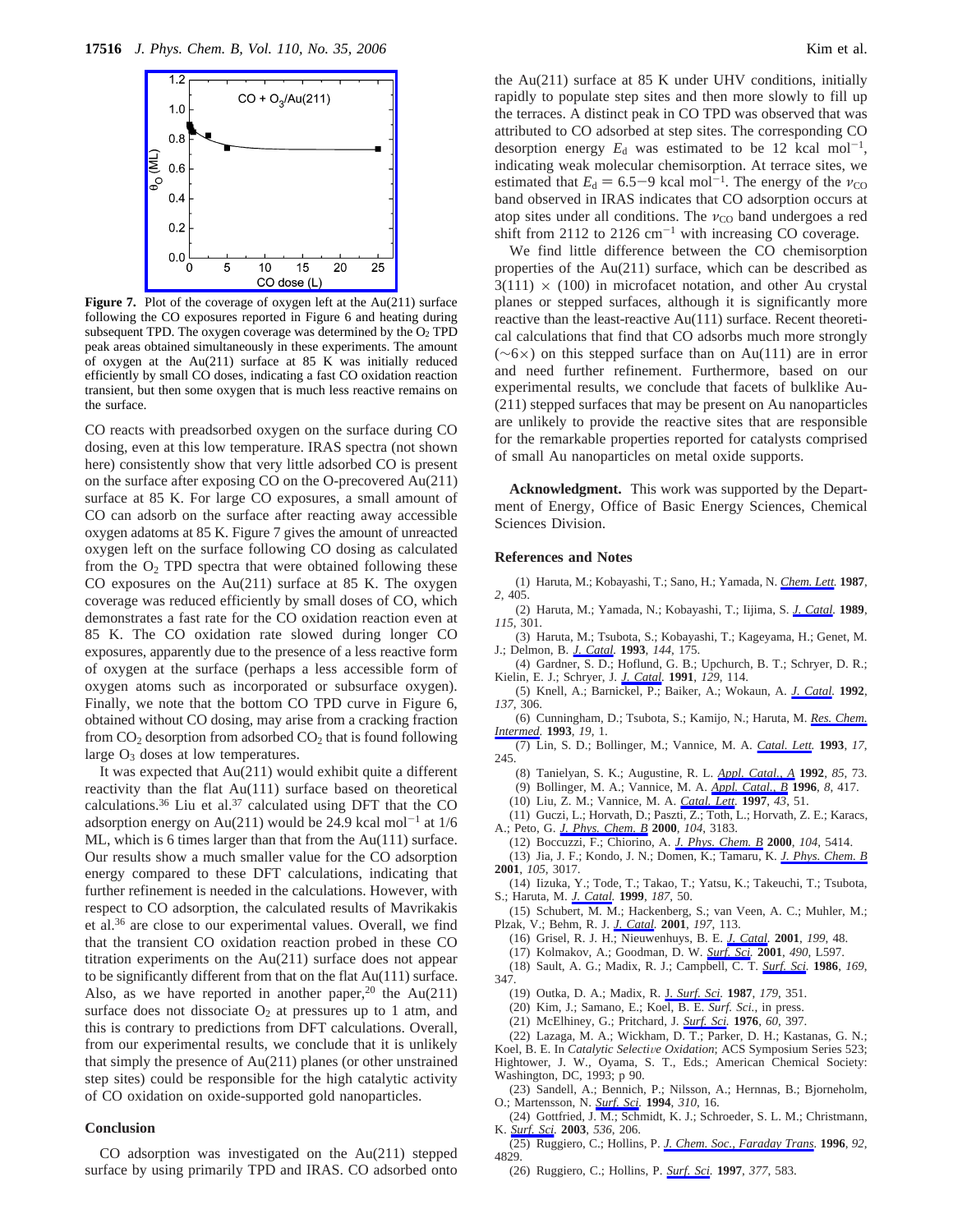

**Figure 7.** Plot of the coverage of oxygen left at the Au(211) surface following the CO exposures reported in Figure 6 and heating during subsequent TPD. The oxygen coverage was determined by the  $O<sub>2</sub>$  TPD peak areas obtained simultaneously in these experiments. The amount of oxygen at the Au(211) surface at 85 K was initially reduced efficiently by small CO doses, indicating a fast CO oxidation reaction transient, but then some oxygen that is much less reactive remains on the surface.

CO reacts with preadsorbed oxygen on the surface during CO dosing, even at this low temperature. IRAS spectra (not shown here) consistently show that very little adsorbed CO is present on the surface after exposing CO on the O-precovered Au(211) surface at 85 K. For large CO exposures, a small amount of CO can adsorb on the surface after reacting away accessible oxygen adatoms at 85 K. Figure 7 gives the amount of unreacted oxygen left on the surface following CO dosing as calculated from the  $O_2$  TPD spectra that were obtained following these CO exposures on the Au(211) surface at 85 K. The oxygen coverage was reduced efficiently by small doses of CO, which demonstrates a fast rate for the CO oxidation reaction even at 85 K. The CO oxidation rate slowed during longer CO exposures, apparently due to the presence of a less reactive form of oxygen at the surface (perhaps a less accessible form of oxygen atoms such as incorporated or subsurface oxygen). Finally, we note that the bottom CO TPD curve in Figure 6, obtained without CO dosing, may arise from a cracking fraction from  $CO_2$  desorption from adsorbed  $CO_2$  that is found following large  $O_3$  doses at low temperatures.

It was expected that Au(211) would exhibit quite a different reactivity than the flat Au(111) surface based on theoretical calculations.36 Liu et al.37 calculated using DFT that the CO adsorption energy on Au(211) would be 24.9 kcal mol<sup>-1</sup> at  $1/6$ ML, which is 6 times larger than that from the Au(111) surface. Our results show a much smaller value for the CO adsorption energy compared to these DFT calculations, indicating that further refinement is needed in the calculations. However, with respect to CO adsorption, the calculated results of Mavrikakis et al.36 are close to our experimental values. Overall, we find that the transient CO oxidation reaction probed in these CO titration experiments on the Au(211) surface does not appear to be significantly different from that on the flat Au(111) surface. Also, as we have reported in another paper,<sup>20</sup> the Au(211) surface does not dissociate  $O_2$  at pressures up to 1 atm, and this is contrary to predictions from DFT calculations. Overall, from our experimental results, we conclude that it is unlikely that simply the presence of Au(211) planes (or other unstrained step sites) could be responsible for the high catalytic activity of CO oxidation on oxide-supported gold nanoparticles.

#### **Conclusion**

CO adsorption was investigated on the Au(211) stepped surface by using primarily TPD and IRAS. CO adsorbed onto the Au(211) surface at 85 K under UHV conditions, initially rapidly to populate step sites and then more slowly to fill up the terraces. A distinct peak in CO TPD was observed that was attributed to CO adsorbed at step sites. The corresponding CO desorption energy  $E_d$  was estimated to be 12 kcal mol<sup>-1</sup>, indicating weak molecular chemisorption. At terrace sites, we estimated that  $E_d = 6.5-9$  kcal mol<sup>-1</sup>. The energy of the  $v_{\text{CO}}$ band observed in IRAS indicates that CO adsorption occurs at atop sites under all conditions. The  $v_{\text{CO}}$  band undergoes a red shift from 2112 to 2126  $cm^{-1}$  with increasing CO coverage.

We find little difference between the CO chemisorption properties of the Au(211) surface, which can be described as  $3(111) \times (100)$  in microfacet notation, and other Au crystal planes or stepped surfaces, although it is significantly more reactive than the least-reactive Au(111) surface. Recent theoretical calculations that find that CO adsorbs much more strongly  $(\sim 6 \times)$  on this stepped surface than on Au(111) are in error and need further refinement. Furthermore, based on our experimental results, we conclude that facets of bulklike Au- (211) stepped surfaces that may be present on Au nanoparticles are unlikely to provide the reactive sites that are responsible for the remarkable properties reported for catalysts comprised of small Au nanoparticles on metal oxide supports.

**Acknowledgment.** This work was supported by the Department of Energy, Office of Basic Energy Sciences, Chemical Sciences Division.

#### **References and Notes**

(1) Haruta, M.; Kobayashi, T.; Sano, H.; Yamada, N. *Chem. Lett.* **1987**, *2*, 405.

- (2) Haruta, M.; Yamada, N.; Kobayashi, T.; Iijima, S. *J. Catal.* **1989**, *115*, 301.
- (3) Haruta, M.; Tsubota, S.; Kobayashi, T.; Kageyama, H.; Genet, M. J.; Delmon, B. *J. Catal.* **1993**, *144*, 175.
- (4) Gardner, S. D.; Hoflund, G. B.; Upchurch, B. T.; Schryer, D. R.; Kielin, E. J.; Schryer, J. *J. Catal.* **1991**, *129*, 114.
- (5) Knell, A.; Barnickel, P.; Baiker, A.; Wokaun, A. *J. Catal.* **1992**, *137*, 306.

(6) Cunningham, D.; Tsubota, S.; Kamijo, N.; Haruta, M. *Res. Chem. Intermed.* **1993**, *19*, 1.

(7) Lin, S. D.; Bollinger, M.; Vannice, M. A. *Catal. Lett.* **1993**, *17*, 245.

- (8) Tanielyan, S. K.; Augustine, R. L. *Appl. Catal., A* **1992**, *85*, 73.
- (9) Bollinger, M. A.; Vannice, M. A. *Appl. Catal., B* **1996**, *8*, 417.
- (10) Liu, Z. M.; Vannice, M. A. *Catal. Lett.* **1997**, *43*, 51.
- (11) Guczi, L.; Horvath, D.; Paszti, Z.; Toth, L.; Horvath, Z. E.; Karacs,
- A.; Peto, G. *J. Phys. Chem. B* **2000**, *104*, 3183.
- (12) Boccuzzi, F.; Chiorino, A. *J. Phys. Chem. B* **2000**, *104*, 5414. (13) Jia, J. F.; Kondo, J. N.; Domen, K.; Tamaru, K. *J. Phys. Chem. B* **2001**, *105*, 3017.

(14) Iizuka, Y.; Tode, T.; Takao, T.; Yatsu, K.; Takeuchi, T.; Tsubota, S.; Haruta, M. *J. Catal.* **1999**, *187*, 50.

(15) Schubert, M. M.; Hackenberg, S.; van Veen, A. C.; Muhler, M.; Plzak, V.; Behm, R. J. *J. Catal.* **2001**, *197*, 113.

(16) Grisel, R. J. H.; Nieuwenhuys, B. E. *J. Catal.* **2001**, *199*, 48.

(17) Kolmakov, A.; Goodman, D. W. *Surf. Sci.* **2001**, *490*, L597.

(18) Sault, A. G.; Madix, R. J.; Campbell, C. T. *Surf. Sci.* **1986**, *169*,

- 347.
	- (19) Outka, D. A.; Madix, R. J. *Surf. Sci.* **1987**, *179*, 351.
	- (20) Kim, J.; Samano, E.; Koel, B. E. *Surf. Sci.*, in press.
	- (21) McElhiney, G.; Pritchard, J. *Surf. Sci.* **1976**, *60*, 397.

(22) Lazaga, M. A.; Wickham, D. T.; Parker, D. H.; Kastanas, G. N.; Koel, B. E. In *Catalytic Selective Oxidation*; ACS Symposium Series 523; Hightower, J. W., Oyama, S. T., Eds.; American Chemical Society: Washington, DC, 1993; p 90.

(23) Sandell, A.; Bennich, P.; Nilsson, A.; Hernnas, B.; Bjorneholm, O.; Martensson, N. *Surf. Sci.* **1994**, *310*, 16.

(24) Gottfried, J. M.; Schmidt, K. J.; Schroeder, S. L. M.; Christmann, K. *Surf. Sci.* **2003**, *536*, 206.

(25) Ruggiero, C.; Hollins, P. *J. Chem. Soc., Faraday Trans.* **1996**, *92*, 4829.

(26) Ruggiero, C.; Hollins, P. *Surf. Sci.* **1997**, *377*, 583.